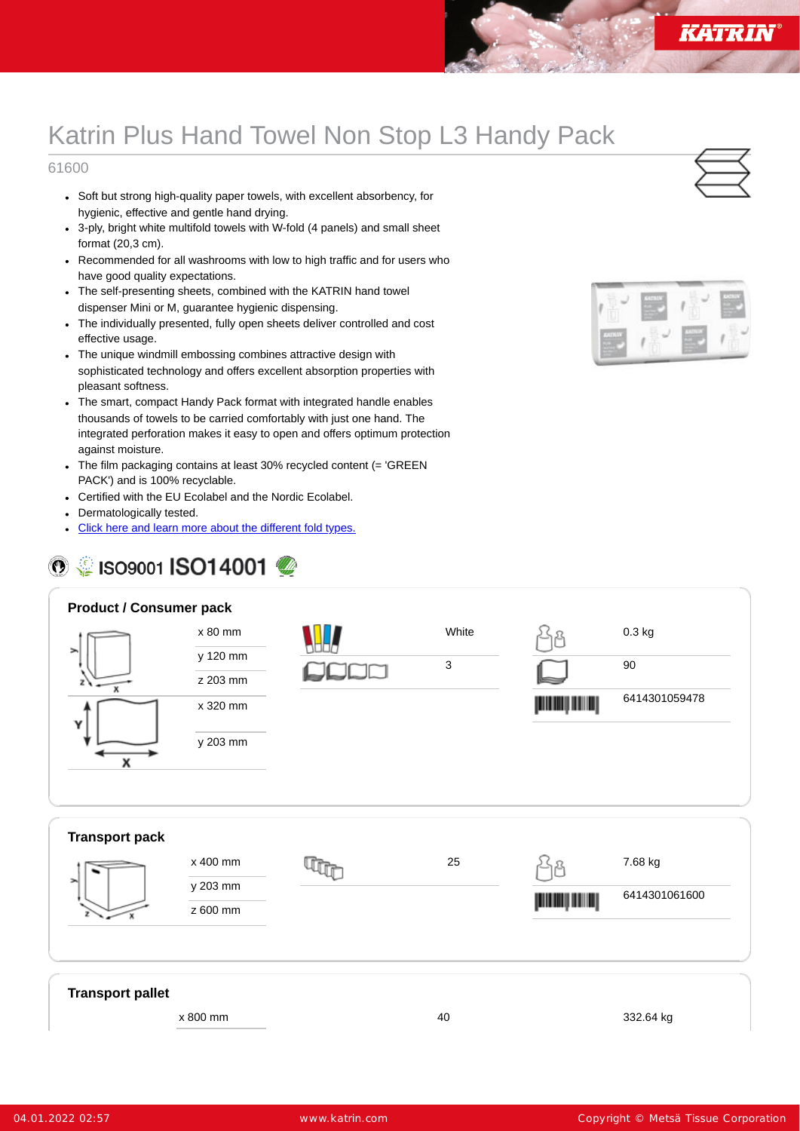## Katrin Plus Hand Towel Non Stop L3 Handy Pack

## 61600

- Soft but strong high-quality paper towels, with excellent absorbency, for hygienic, effective and gentle hand drying.
- 3-ply, bright white multifold towels with W-fold (4 panels) and small sheet format (20,3 cm).
- Recommended for all washrooms with low to high traffic and for users who have good quality expectations.
- The self-presenting sheets, combined with the KATRIN hand towel dispenser Mini or M, guarantee hygienic dispensing.
- The individually presented, fully open sheets deliver controlled and cost effective usage.
- The unique windmill embossing combines attractive design with sophisticated technology and offers excellent absorption properties with pleasant softness.
- The smart, compact Handy Pack format with integrated handle enables thousands of towels to be carried comfortably with just one hand. The integrated perforation makes it easy to open and offers optimum protection against moisture.
- The film packaging contains at least 30% recycled content (= 'GREEN PACK') and is 100% recyclable.
- Certified with the EU Ecolabel and the Nordic Ecolabel.
- Dermatologically tested.
- Click here and learn more about the [different](https://www.katrin.com/en/about-katrin/news/Pages/Handtowel-Foldings.aspx) fold types.

## **<sup>⊙</sup> SISO9001 ISO14001**



| <b>Product / Consumer pack</b> |          |       |          |               |  |
|--------------------------------|----------|-------|----------|---------------|--|
|                                | x 80 mm  | White |          | $0.3$ kg      |  |
| $\rightarrow$                  | y 120 mm | 3     |          | $90\,$        |  |
| $\boldsymbol{\mathsf{x}}$      | z 203 mm |       |          |               |  |
| γ                              | x 320 mm |       | اسس أسسا | 6414301059478 |  |
| Х                              | y 203 mm |       |          |               |  |
|                                |          |       |          |               |  |
| <b>Transport pack</b>          |          |       |          |               |  |
| ⋋                              | x 400 mm | 25    |          | 7.68 kg       |  |
|                                | y 203 mm |       | إسسارسسر | 6414301061600 |  |
|                                | z 600 mm |       |          |               |  |
|                                |          |       |          |               |  |
| <b>Transport pallet</b>        |          |       |          |               |  |
|                                | x 800 mm | 40    |          | 332.64 kg     |  |

04.01.2022 02:57 www.katrin.com Copyright © Metsä Tissue Corporation